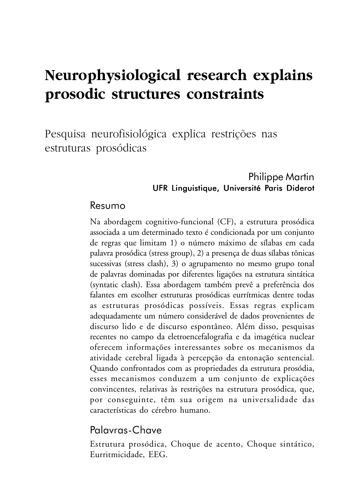# **Neurophysiological research explains prosodic structures constraints**

Pesquisa neurofisiológica explica restrições nas estruturas prosódicas

## Philippe Martin UFR Linguistique, Université Paris Diderot

### Resumo

Na abordagem cognitivo-funcional (CF), a estrutura prosódica associada a um determinado texto é condicionada por um conjunto de regras que limitam 1) o número máximo de sílabas em cada palavra prosódica (stress group), 2) a presença de duas sílabas tônicas sucessivas (stress clash), 3) o agrupamento no mesmo grupo tonal de palavras dominadas por diferentes ligações na estrutura sintática (syntatic clash). Essa abordagem também prevê a preferência dos falantes em escolher estruturas prosódicas eurrítmicas dentre todas as estruturas prosódicas possíveis. Essas regras explicam adequadamente um número considerável de dados provenientes de discurso lido e de discurso espontâneo. Além disso, pesquisas recentes no campo da eletroencefalografia e da imagética nuclear oferecem informações interessantes sobre os mecanismos da atividade cerebral ligada à percepção da entonação sentencial. Quando confrontados com as propriedades da estrutura prosódia, esses mecanismos conduzem a um conjunto de explicações convincentes, relativas às restrições na estrutura prosódica, que, por conseguinte, têm sua origem na universalidade das características do cérebro humano.

## Palavras-Chave

Estrutura prosódica, Choque de acento, Choque sintático, Eurritmicidade, EEG.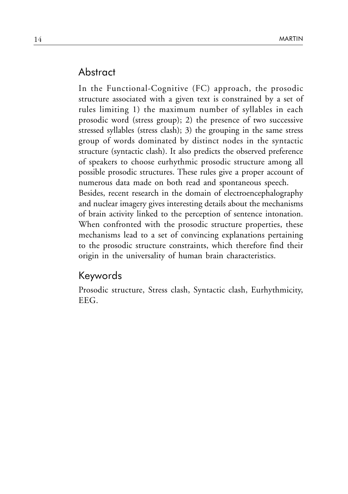### Abstract

In the Functional-Cognitive (FC) approach, the prosodic structure associated with a given text is constrained by a set of rules limiting 1) the maximum number of syllables in each prosodic word (stress group); 2) the presence of two successive stressed syllables (stress clash); 3) the grouping in the same stress group of words dominated by distinct nodes in the syntactic structure (syntactic clash). It also predicts the observed preference of speakers to choose eurhythmic prosodic structure among all possible prosodic structures. These rules give a proper account of numerous data made on both read and spontaneous speech. Besides, recent research in the domain of electroencephalography

and nuclear imagery gives interesting details about the mechanisms of brain activity linked to the perception of sentence intonation. When confronted with the prosodic structure properties, these mechanisms lead to a set of convincing explanations pertaining to the prosodic structure constraints, which therefore find their origin in the universality of human brain characteristics.

### Keywords

Prosodic structure, Stress clash, Syntactic clash, Eurhythmicity, EEG.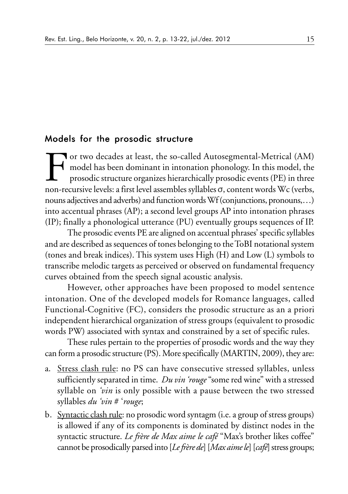#### Models for the prosodic structure

For two decades at least, the so-called Autosegmental-Metrical (AM) model has been dominant in intonation phonology. In this model, the prosodic structure organizes hierarchically prosodic events (PE) in three non-recursi or two decades at least, the so-called Autosegmental-Metrical (AM) model has been dominant in intonation phonology. In this model, the prosodic structure organizes hierarchically prosodic events (PE) in three nouns adjectives and adverbs) and function words Wf (conjunctions, pronouns,…) into accentual phrases (AP); a second level groups AP into intonation phrases (IP); finally a phonological utterance (PU) eventually groups sequences of IP.

The prosodic events PE are aligned on accentual phrases' specific syllables and are described as sequences of tones belonging to the ToBI notational system (tones and break indices). This system uses High (H) and Low (L) symbols to transcribe melodic targets as perceived or observed on fundamental frequency curves obtained from the speech signal acoustic analysis.

However, other approaches have been proposed to model sentence intonation. One of the developed models for Romance languages, called Functional-Cognitive (FC), considers the prosodic structure as an a priori independent hierarchical organization of stress groups (equivalent to prosodic words PW) associated with syntax and constrained by a set of specific rules.

These rules pertain to the properties of prosodic words and the way they can form a prosodic structure (PS). More specifically (MARTIN, 2009), they are:

- a. Stress clash rule: no PS can have consecutive stressed syllables, unless sufficiently separated in time. *Du vin 'rouge* "some red wine" with a stressed syllable on *'vin* is only possible with a pause between the two stressed syllables *du 'vin* # '*rouge*;
- b. Syntactic clash rule: no prosodic word syntagm (i.e. a group of stress groups) is allowed if any of its components is dominated by distinct nodes in the syntactic structure. *Le frère de Max aime le café* "Max's brother likes coffee" cannot be prosodically parsed into [*Le frère de*] [*Max aime le*] [*café*] stress groups;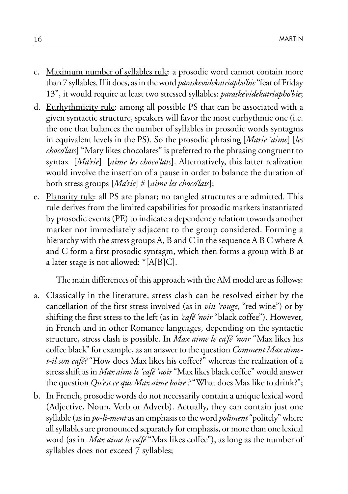- c. Maximum number of syllables rule: a prosodic word cannot contain more than 7 syllables. If it does, as in the word *paraskevidekatriapho'bie* "fear of Friday 13", it would require at least two stressed syllables: *paraske'videkatriapho'bie*;
- d. Eurhythmicity rule: among all possible PS that can be associated with a given syntactic structure, speakers will favor the most eurhythmic one (i.e. the one that balances the number of syllables in prosodic words syntagms in equivalent levels in the PS). So the prosodic phrasing [*Marie 'aime*] [*les choco'lats*] "Mary likes chocolates" is preferred to the phrasing congruent to syntax [*Ma'rie*] [*aime les choco'lats*]. Alternatively, this latter realization would involve the insertion of a pause in order to balance the duration of both stress groups [*Ma'rie*] # [*aime les choco'lats*];
- e. Planarity rule: all PS are planar; no tangled structures are admitted. This rule derives from the limited capabilities for prosodic markers instantiated by prosodic events (PE) to indicate a dependency relation towards another marker not immediately adjacent to the group considered. Forming a hierarchy with the stress groups A, B and C in the sequence A B C where A and C form a first prosodic syntagm, which then forms a group with B at a later stage is not allowed: \*[A[B]C].

The main differences of this approach with the AM model are as follows:

- a. Classically in the literature, stress clash can be resolved either by the cancellation of the first stress involved (as in *vin 'rouge*, "red wine") or by shifting the first stress to the left (as in *'café 'noir* "black coffee"). However, in French and in other Romance languages, depending on the syntactic structure, stress clash is possible. In *Max aime le ca'fé 'noir* "Max likes his coffee black" for example, as an answer to the question *Comment Max aimet-il son café?* "How does Max likes his coffee?" whereas the realization of a stress shift as in *Max aime le 'café 'noir* "Max likes black coffee" would answer the question *Qu'est ce que Max aime boire ?* "What does Max like to drink?";
- b. In French, prosodic words do not necessarily contain a unique lexical word (Adjective, Noun, Verb or Adverb). Actually, they can contain just one syllable (as in *po-li-ment* as an emphasis to the word *poliment* "politely" where all syllables are pronounced separately for emphasis, or more than one lexical word (as in *Max aime le ca'fé* "Max likes coffee"), as long as the number of syllables does not exceed 7 syllables;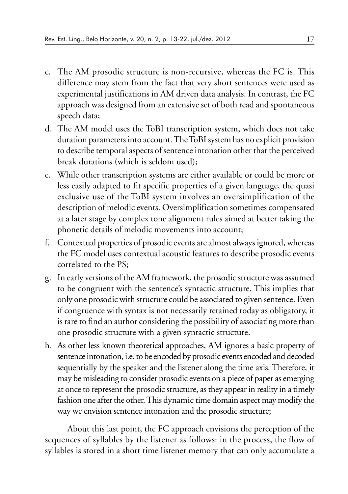- c. The AM prosodic structure is non-recursive, whereas the FC is. This difference may stem from the fact that very short sentences were used as experimental justifications in AM driven data analysis. In contrast, the FC approach was designed from an extensive set of both read and spontaneous speech data;
- d. The AM model uses the ToBI transcription system, which does not take duration parameters into account. The ToBI system has no explicit provision to describe temporal aspects of sentence intonation other that the perceived break durations (which is seldom used);
- e. While other transcription systems are either available or could be more or less easily adapted to fit specific properties of a given language, the quasi exclusive use of the ToBI system involves an oversimplification of the description of melodic events. Oversimplification sometimes compensated at a later stage by complex tone alignment rules aimed at better taking the phonetic details of melodic movements into account;
- f. Contextual properties of prosodic events are almost always ignored, whereas the FC model uses contextual acoustic features to describe prosodic events correlated to the PS;
- g. In early versions of the AM framework, the prosodic structure was assumed to be congruent with the sentence's syntactic structure. This implies that only one prosodic with structure could be associated to given sentence. Even if congruence with syntax is not necessarily retained today as obligatory, it is rare to find an author considering the possibility of associating more than one prosodic structure with a given syntactic structure.
- h. As other less known theoretical approaches, AM ignores a basic property of sentence intonation, i.e. to be encoded by prosodic events encoded and decoded sequentially by the speaker and the listener along the time axis. Therefore, it may be misleading to consider prosodic events on a piece of paper as emerging at once to represent the prosodic structure, as they appear in reality in a timely fashion one after the other. This dynamic time domain aspect may modify the way we envision sentence intonation and the prosodic structure;

About this last point, the FC approach envisions the perception of the sequences of syllables by the listener as follows: in the process, the flow of syllables is stored in a short time listener memory that can only accumulate a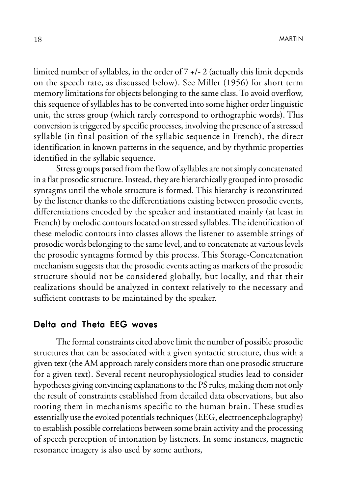limited number of syllables, in the order of 7 +/- 2 (actually this limit depends on the speech rate, as discussed below). See Miller (1956) for short term memory limitations for objects belonging to the same class. To avoid overflow, this sequence of syllables has to be converted into some higher order linguistic unit, the stress group (which rarely correspond to orthographic words). This conversion is triggered by specific processes, involving the presence of a stressed syllable (in final position of the syllabic sequence in French), the direct identification in known patterns in the sequence, and by rhythmic properties identified in the syllabic sequence.

Stress groups parsed from the flow of syllables are not simply concatenated in a flat prosodic structure. Instead, they are hierarchically grouped into prosodic syntagms until the whole structure is formed. This hierarchy is reconstituted by the listener thanks to the differentiations existing between prosodic events, differentiations encoded by the speaker and instantiated mainly (at least in French) by melodic contours located on stressed syllables. The identification of these melodic contours into classes allows the listener to assemble strings of prosodic words belonging to the same level, and to concatenate at various levels the prosodic syntagms formed by this process. This Storage-Concatenation mechanism suggests that the prosodic events acting as markers of the prosodic structure should not be considered globally, but locally, and that their realizations should be analyzed in context relatively to the necessary and sufficient contrasts to be maintained by the speaker.

#### Delta and Theta EEG waves

The formal constraints cited above limit the number of possible prosodic structures that can be associated with a given syntactic structure, thus with a given text (the AM approach rarely considers more than one prosodic structure for a given text). Several recent neurophysiological studies lead to consider hypotheses giving convincing explanations to the PS rules, making them not only the result of constraints established from detailed data observations, but also rooting them in mechanisms specific to the human brain. These studies essentially use the evoked potentials techniques (EEG, electroencephalography) to establish possible correlations between some brain activity and the processing of speech perception of intonation by listeners. In some instances, magnetic resonance imagery is also used by some authors,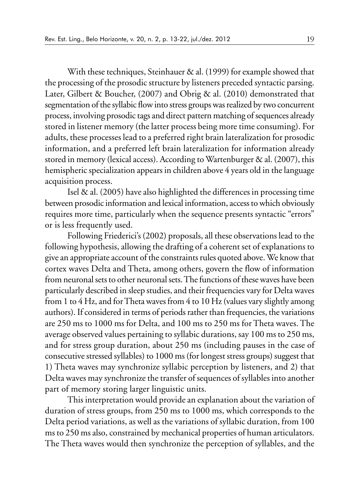With these techniques, Steinhauer & al. (1999) for example showed that the processing of the prosodic structure by listeners preceded syntactic parsing. Later, Gilbert & Boucher, (2007) and Obrig & al. (2010) demonstrated that segmentation of the syllabic flow into stress groups was realized by two concurrent process, involving prosodic tags and direct pattern matching of sequences already stored in listener memory (the latter process being more time consuming). For adults, these processes lead to a preferred right brain lateralization for prosodic information, and a preferred left brain lateralization for information already stored in memory (lexical access). According to Wartenburger & al. (2007), this hemispheric specialization appears in children above 4 years old in the language acquisition process.

Isel  $\&$  al. (2005) have also highlighted the differences in processing time between prosodic information and lexical information, access to which obviously requires more time, particularly when the sequence presents syntactic "errors" or is less frequently used.

Following Friederici's (2002) proposals, all these observations lead to the following hypothesis, allowing the drafting of a coherent set of explanations to give an appropriate account of the constraints rules quoted above. We know that cortex waves Delta and Theta, among others, govern the flow of information from neuronal sets to other neuronal sets. The functions of these waves have been particularly described in sleep studies, and their frequencies vary for Delta waves from 1 to 4 Hz, and for Theta waves from 4 to 10 Hz (values vary slightly among authors). If considered in terms of periods rather than frequencies, the variations are 250 ms to 1000 ms for Delta, and 100 ms to 250 ms for Theta waves. The average observed values pertaining to syllabic durations, say 100 ms to 250 ms, and for stress group duration, about 250 ms (including pauses in the case of consecutive stressed syllables) to 1000 ms (for longest stress groups) suggest that 1) Theta waves may synchronize syllabic perception by listeners, and 2) that Delta waves may synchronize the transfer of sequences of syllables into another part of memory storing larger linguistic units.

This interpretation would provide an explanation about the variation of duration of stress groups, from 250 ms to 1000 ms, which corresponds to the Delta period variations, as well as the variations of syllabic duration, from 100 ms to 250 ms also, constrained by mechanical properties of human articulators. The Theta waves would then synchronize the perception of syllables, and the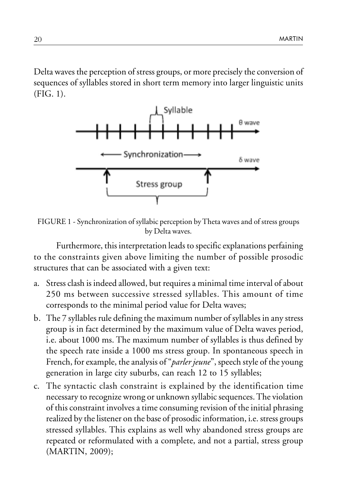Delta waves the perception of stress groups, or more precisely the conversion of sequences of syllables stored in short term memory into larger linguistic units (FIG. 1).



FIGURE 1 - Synchronization of syllabic perception by Theta waves and of stress groups by Delta waves.

Furthermore, this interpretation leads to specific explanations perfaining to the constraints given above limiting the number of possible prosodic structures that can be associated with a given text:

- a. Stress clash is indeed allowed, but requires a minimal time interval of about 250 ms between successive stressed syllables. This amount of time corresponds to the minimal period value for Delta waves;
- b. The 7 syllables rule defining the maximum number of syllables in any stress group is in fact determined by the maximum value of Delta waves period, i.e. about 1000 ms. The maximum number of syllables is thus defined by the speech rate inside a 1000 ms stress group. In spontaneous speech in French, for example, the analysis of "*parler jeune*", speech style of the young generation in large city suburbs, can reach 12 to 15 syllables;
- c. The syntactic clash constraint is explained by the identification time necessary to recognize wrong or unknown syllabic sequences. The violation of this constraint involves a time consuming revision of the initial phrasing realized by the listener on the base of prosodic information, i.e. stress groups stressed syllables. This explains as well why abandoned stress groups are repeated or reformulated with a complete, and not a partial, stress group (MARTIN, 2009);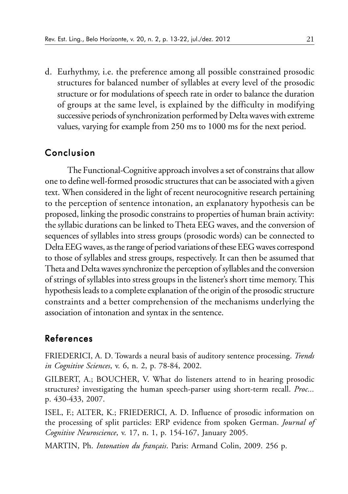d. Eurhythmy, i.e. the preference among all possible constrained prosodic structures for balanced number of syllables at every level of the prosodic structure or for modulations of speech rate in order to balance the duration of groups at the same level, is explained by the difficulty in modifying successive periods of synchronization performed by Delta waves with extreme values, varying for example from 250 ms to 1000 ms for the next period.

#### Conclusion

The Functional-Cognitive approach involves a set of constrains that allow one to define well-formed prosodic structures that can be associated with a given text. When considered in the light of recent neurocognitive research pertaining to the perception of sentence intonation, an explanatory hypothesis can be proposed, linking the prosodic constrains to properties of human brain activity: the syllabic durations can be linked to Theta EEG waves, and the conversion of sequences of syllables into stress groups (prosodic words) can be connected to Delta EEG waves, as the range of period variations of these EEG waves correspond to those of syllables and stress groups, respectively. It can then be assumed that Theta and Delta waves synchronize the perception of syllables and the conversion of strings of syllables into stress groups in the listener's short time memory. This hypothesis leads to a complete explanation of the origin of the prosodic structure constraints and a better comprehension of the mechanisms underlying the association of intonation and syntax in the sentence.

### References

FRIEDERICI, A. D. Towards a neural basis of auditory sentence processing. *Trends in Cognitive Sciences*, v. 6, n. 2, p. 78-84, 2002.

GILBERT, A.; BOUCHER, V. What do listeners attend to in hearing prosodic structures? investigating the human speech-parser using short-term recall. *Proc...* p. 430-433, 2007.

ISEL, F.; ALTER, K.; FRIEDERICI, A. D. Influence of prosodic information on the processing of split particles: ERP evidence from spoken German. *Journal of Cognitive Neuroscience*, v. 17, n. 1, p. 154-167, January 2005.

MARTIN, Ph. *Intonation du français*. Paris: Armand Colin, 2009. 256 p.